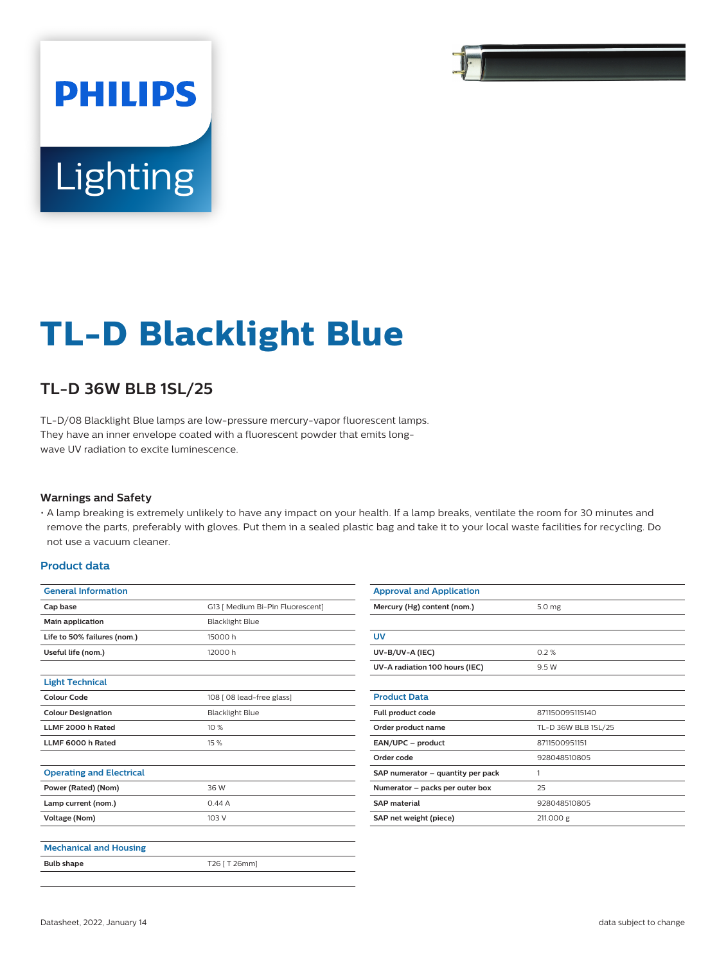# **PHILIPS** Lighting

# **TL-D Blacklight Blue**

## **TL-D 36W BLB 1SL/25**

TL-D/08 Blacklight Blue lamps are low-pressure mercury-vapor fluorescent lamps. They have an inner envelope coated with a fluorescent powder that emits longwave UV radiation to excite luminescence.

#### **Warnings and Safety**

• A lamp breaking is extremely unlikely to have any impact on your health. If a lamp breaks, ventilate the room for 30 minutes and remove the parts, preferably with gloves. Put them in a sealed plastic bag and take it to your local waste facilities for recycling. Do not use a vacuum cleaner.

#### **Product data**

| <b>General Information</b>      |                                  |  |  |
|---------------------------------|----------------------------------|--|--|
| Cap base                        | G13   Medium Bi-Pin Fluorescent] |  |  |
| Main application                | <b>Blacklight Blue</b>           |  |  |
| Life to 50% failures (nom.)     | 15000 h                          |  |  |
| Useful life (nom.)              | 12000 h                          |  |  |
|                                 |                                  |  |  |
| <b>Light Technical</b>          |                                  |  |  |
| Colour Code                     | 108 [ 08 lead-free glass]        |  |  |
| <b>Colour Designation</b>       | <b>Blacklight Blue</b>           |  |  |
| LLMF 2000 h Rated               | 10%                              |  |  |
| LLMF 6000 h Rated               | 15 %                             |  |  |
|                                 |                                  |  |  |
| <b>Operating and Electrical</b> |                                  |  |  |
| Power (Rated) (Nom)             | 36 W                             |  |  |
| Lamp current (nom.)             | 0.44A                            |  |  |
| Voltage (Nom)                   | 103 V                            |  |  |
|                                 |                                  |  |  |
| <b>Mechanical and Housing</b>   |                                  |  |  |
| <b>Bulb shape</b>               | T26 [ T 26mm]                    |  |  |
|                                 |                                  |  |  |

| <b>Approval and Application</b>   |                     |  |  |  |  |
|-----------------------------------|---------------------|--|--|--|--|
| Mercury (Hg) content (nom.)       | 5.0 <sub>mg</sub>   |  |  |  |  |
|                                   |                     |  |  |  |  |
| UV                                |                     |  |  |  |  |
| UV-B/UV-A (IEC)                   | 0.2%                |  |  |  |  |
| UV-A radiation 100 hours (IEC)    | 9.5 W               |  |  |  |  |
|                                   |                     |  |  |  |  |
| <b>Product Data</b>               |                     |  |  |  |  |
| Full product code                 | 871150095115140     |  |  |  |  |
| Order product name                | TL-D 36W BLB 1SL/25 |  |  |  |  |
| EAN/UPC - product                 | 8711500951151       |  |  |  |  |
| Order code                        | 928048510805        |  |  |  |  |
| SAP numerator - quantity per pack | 1                   |  |  |  |  |
| Numerator - packs per outer box   | 25                  |  |  |  |  |
| <b>SAP</b> material               | 928048510805        |  |  |  |  |
| SAP net weight (piece)            | 211.000 g           |  |  |  |  |
|                                   |                     |  |  |  |  |